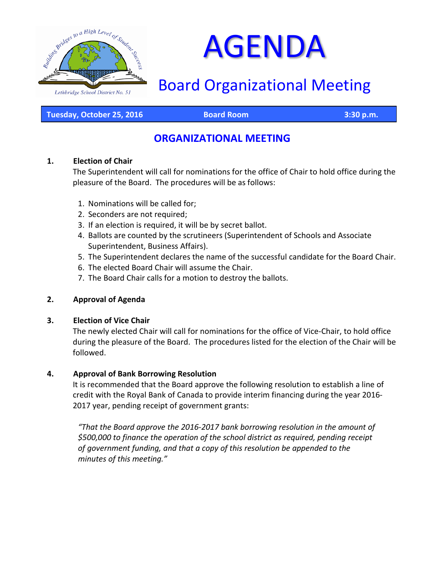

# AGENDA

## Board Organizational Meeting

**Tuesday, October 25, 2016 Board Room 3:30 p.m.**

## **ORGANIZATIONAL MEETING**

#### **1. Election of Chair**

The Superintendent will call for nominations for the office of Chair to hold office during the pleasure of the Board. The procedures will be as follows:

- 1. Nominations will be called for;
- 2. Seconders are not required;
- 3. If an election is required, it will be by secret ballot.
- 4. Ballots are counted by the scrutineers (Superintendent of Schools and Associate Superintendent, Business Affairs).
- 5. The Superintendent declares the name of the successful candidate for the Board Chair.
- 6. The elected Board Chair will assume the Chair.
- 7. The Board Chair calls for a motion to destroy the ballots.

#### **2. Approval of Agenda**

#### **3. Election of Vice Chair**

The newly elected Chair will call for nominations for the office of Vice-Chair, to hold office during the pleasure of the Board. The procedures listed for the election of the Chair will be followed.

#### **4. Approval of Bank Borrowing Resolution**

It is recommended that the Board approve the following resolution to establish a line of credit with the Royal Bank of Canada to provide interim financing during the year 2016- 2017 year, pending receipt of government grants:

*"That the Board approve the 2016-2017 bank borrowing resolution in the amount of \$500,000 to finance the operation of the school district as required, pending receipt of government funding, and that a copy of this resolution be appended to the minutes of this meeting."*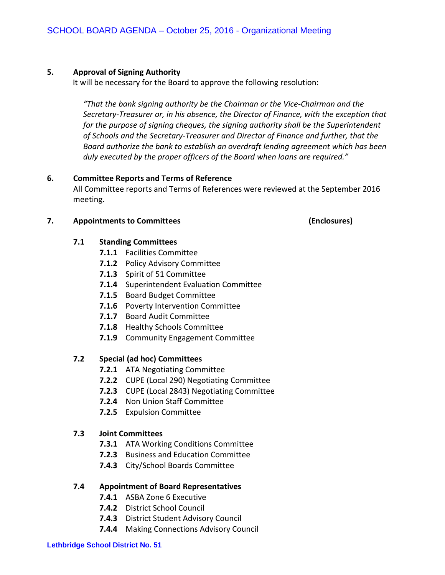#### **5. Approval of Signing Authority**

It will be necessary for the Board to approve the following resolution:

*"That the bank signing authority be the Chairman or the Vice-Chairman and the Secretary-Treasurer or, in his absence, the Director of Finance, with the exception that for the purpose of signing cheques, the signing authority shall be the Superintendent of Schools and the Secretary-Treasurer and Director of Finance and further, that the Board authorize the bank to establish an overdraft lending agreement which has been duly executed by the proper officers of the Board when loans are required."*

#### **6. Committee Reports and Terms of Reference**

All Committee reports and Terms of References were reviewed at the September 2016 meeting.

#### **7. Appointments to Committees (Enclosures)**

#### **7.1 Standing Committees**

- **7.1.1** Facilities Committee
- **7.1.2** Policy Advisory Committee
- **7.1.3** Spirit of 51 Committee
- **7.1.4** Superintendent Evaluation Committee
- **7.1.5** Board Budget Committee
- **7.1.6** Poverty Intervention Committee
- **7.1.7** Board Audit Committee
- **7.1.8** Healthy Schools Committee
- **7.1.9** Community Engagement Committee

#### **7.2 Special (ad hoc) Committees**

- **7.2.1** ATA Negotiating Committee
- **7.2.2** CUPE (Local 290) Negotiating Committee
- **7.2.3** CUPE (Local 2843) Negotiating Committee
- **7.2.4** Non Union Staff Committee
- **7.2.5** Expulsion Committee

#### **7.3 Joint Committees**

- **7.3.1** ATA Working Conditions Committee
- **7.2.3** Business and Education Committee
- **7.4.3** City/School Boards Committee

#### **7.4 Appointment of Board Representatives**

- **7.4.1** ASBA Zone 6 Executive
- **7.4.2** District School Council
- **7.4.3** District Student Advisory Council
- **7.4.4** Making Connections Advisory Council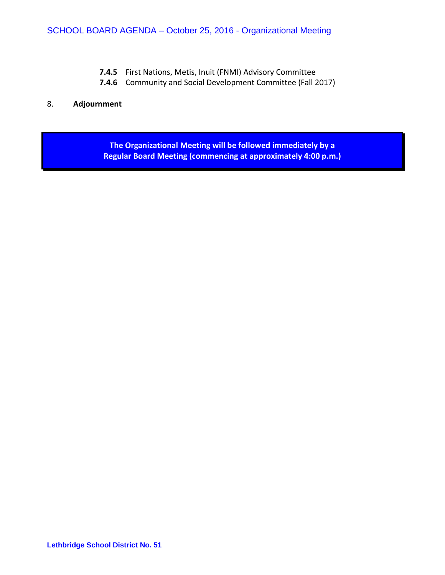- **7.4.5** First Nations, Metis, Inuit (FNMI) Advisory Committee
- **7.4.6** Community and Social Development Committee (Fall 2017)

#### 8. **Adjournment**

**The Organizational Meeting will be followed immediately by a Regular Board Meeting (commencing at approximately 4:00 p.m.)**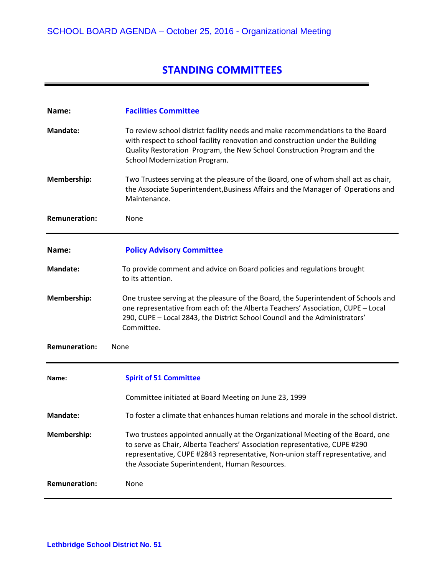## **STANDING COMMITTEES**

| Name:                        | <b>Facilities Committee</b>                                                                                                                                                                                                                                                                       |
|------------------------------|---------------------------------------------------------------------------------------------------------------------------------------------------------------------------------------------------------------------------------------------------------------------------------------------------|
| <b>Mandate:</b>              | To review school district facility needs and make recommendations to the Board<br>with respect to school facility renovation and construction under the Building<br>Quality Restoration Program, the New School Construction Program and the<br>School Modernization Program.                     |
| Membership:                  | Two Trustees serving at the pleasure of the Board, one of whom shall act as chair,<br>the Associate Superintendent, Business Affairs and the Manager of Operations and<br>Maintenance.                                                                                                            |
| <b>Remuneration:</b>         | None                                                                                                                                                                                                                                                                                              |
| Name:                        | <b>Policy Advisory Committee</b>                                                                                                                                                                                                                                                                  |
| <b>Mandate:</b>              | To provide comment and advice on Board policies and regulations brought<br>to its attention.                                                                                                                                                                                                      |
| Membership:                  | One trustee serving at the pleasure of the Board, the Superintendent of Schools and<br>one representative from each of: the Alberta Teachers' Association, CUPE - Local<br>290, CUPE - Local 2843, the District School Council and the Administrators'<br>Committee.                              |
| <b>Remuneration:</b><br>None |                                                                                                                                                                                                                                                                                                   |
| Name:                        | <b>Spirit of 51 Committee</b>                                                                                                                                                                                                                                                                     |
|                              | Committee initiated at Board Meeting on June 23, 1999                                                                                                                                                                                                                                             |
| <b>Mandate:</b>              | To foster a climate that enhances human relations and morale in the school district.                                                                                                                                                                                                              |
| Membership:                  | Two trustees appointed annually at the Organizational Meeting of the Board, one<br>to serve as Chair, Alberta Teachers' Association representative, CUPE #290<br>representative, CUPE #2843 representative, Non-union staff representative, and<br>the Associate Superintendent, Human Resources. |
| <b>Remuneration:</b>         | None                                                                                                                                                                                                                                                                                              |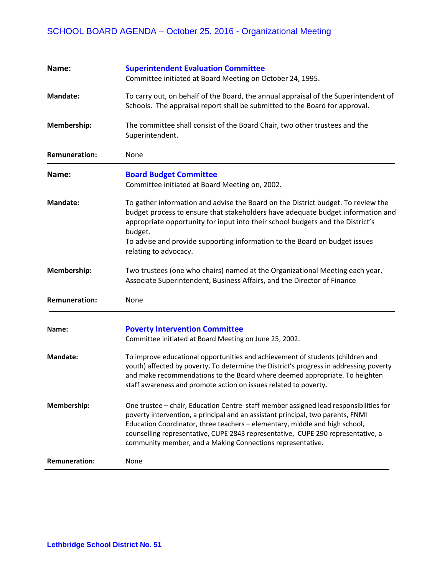## SCHOOL BOARD AGENDA – October 25, 2016 - Organizational Meeting

| Name:                | <b>Superintendent Evaluation Committee</b>                                                                                                                                                                                                                                                                                                                                                                |
|----------------------|-----------------------------------------------------------------------------------------------------------------------------------------------------------------------------------------------------------------------------------------------------------------------------------------------------------------------------------------------------------------------------------------------------------|
|                      | Committee initiated at Board Meeting on October 24, 1995.                                                                                                                                                                                                                                                                                                                                                 |
| <b>Mandate:</b>      | To carry out, on behalf of the Board, the annual appraisal of the Superintendent of<br>Schools. The appraisal report shall be submitted to the Board for approval.                                                                                                                                                                                                                                        |
| Membership:          | The committee shall consist of the Board Chair, two other trustees and the<br>Superintendent.                                                                                                                                                                                                                                                                                                             |
| <b>Remuneration:</b> | None                                                                                                                                                                                                                                                                                                                                                                                                      |
| Name:                | <b>Board Budget Committee</b><br>Committee initiated at Board Meeting on, 2002.                                                                                                                                                                                                                                                                                                                           |
| <b>Mandate:</b>      | To gather information and advise the Board on the District budget. To review the<br>budget process to ensure that stakeholders have adequate budget information and<br>appropriate opportunity for input into their school budgets and the District's<br>budget.<br>To advise and provide supporting information to the Board on budget issues<br>relating to advocacy.                                   |
| Membership:          | Two trustees (one who chairs) named at the Organizational Meeting each year,<br>Associate Superintendent, Business Affairs, and the Director of Finance                                                                                                                                                                                                                                                   |
| <b>Remuneration:</b> | None                                                                                                                                                                                                                                                                                                                                                                                                      |
| Name:                | <b>Poverty Intervention Committee</b><br>Committee initiated at Board Meeting on June 25, 2002.                                                                                                                                                                                                                                                                                                           |
| <b>Mandate:</b>      | To improve educational opportunities and achievement of students (children and<br>youth) affected by poverty. To determine the District's progress in addressing poverty<br>and make recommendations to the Board where deemed appropriate. To heighten<br>staff awareness and promote action on issues related to poverty.                                                                               |
| Membership:          | One trustee - chair, Education Centre staff member assigned lead responsibilities for<br>poverty intervention, a principal and an assistant principal, two parents, FNMI<br>Education Coordinator, three teachers - elementary, middle and high school,<br>counselling representative, CUPE 2843 representative, CUPE 290 representative, a<br>community member, and a Making Connections representative. |
| <b>Remuneration:</b> | None                                                                                                                                                                                                                                                                                                                                                                                                      |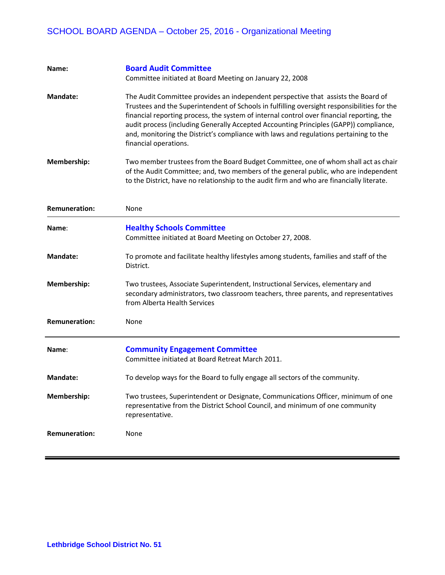## SCHOOL BOARD AGENDA – October 25, 2016 - Organizational Meeting

| Name:                | <b>Board Audit Committee</b><br>Committee initiated at Board Meeting on January 22, 2008                                                                                                                                                                                                                                                                                                                                                                                                 |
|----------------------|------------------------------------------------------------------------------------------------------------------------------------------------------------------------------------------------------------------------------------------------------------------------------------------------------------------------------------------------------------------------------------------------------------------------------------------------------------------------------------------|
| <b>Mandate:</b>      | The Audit Committee provides an independent perspective that assists the Board of<br>Trustees and the Superintendent of Schools in fulfilling oversight responsibilities for the<br>financial reporting process, the system of internal control over financial reporting, the<br>audit process (including Generally Accepted Accounting Principles (GAPP)) compliance,<br>and, monitoring the District's compliance with laws and regulations pertaining to the<br>financial operations. |
| <b>Membership:</b>   | Two member trustees from the Board Budget Committee, one of whom shall act as chair<br>of the Audit Committee; and, two members of the general public, who are independent<br>to the District, have no relationship to the audit firm and who are financially literate.                                                                                                                                                                                                                  |
| <b>Remuneration:</b> | None                                                                                                                                                                                                                                                                                                                                                                                                                                                                                     |
| Name:                | <b>Healthy Schools Committee</b><br>Committee initiated at Board Meeting on October 27, 2008.                                                                                                                                                                                                                                                                                                                                                                                            |
| Mandate:             | To promote and facilitate healthy lifestyles among students, families and staff of the<br>District.                                                                                                                                                                                                                                                                                                                                                                                      |
| Membership:          | Two trustees, Associate Superintendent, Instructional Services, elementary and<br>secondary administrators, two classroom teachers, three parents, and representatives<br>from Alberta Health Services                                                                                                                                                                                                                                                                                   |
| <b>Remuneration:</b> | None                                                                                                                                                                                                                                                                                                                                                                                                                                                                                     |
| Name:                | <b>Community Engagement Committee</b><br>Committee initiated at Board Retreat March 2011.                                                                                                                                                                                                                                                                                                                                                                                                |
| <b>Mandate:</b>      | To develop ways for the Board to fully engage all sectors of the community.                                                                                                                                                                                                                                                                                                                                                                                                              |
| <b>Membership:</b>   | Two trustees, Superintendent or Designate, Communications Officer, minimum of one<br>representative from the District School Council, and minimum of one community<br>representative.                                                                                                                                                                                                                                                                                                    |
| <b>Remuneration:</b> | None                                                                                                                                                                                                                                                                                                                                                                                                                                                                                     |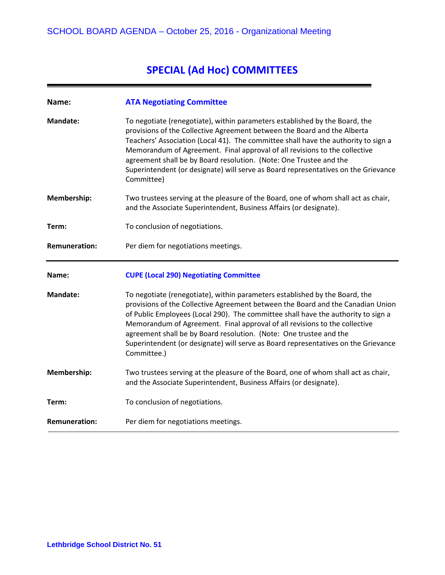## **SPECIAL (Ad Hoc) COMMITTEES**

| Name:                | <b>ATA Negotiating Committee</b>                                                                                                                                                                                                                                                                                                                                                                                                                                                                             |
|----------------------|--------------------------------------------------------------------------------------------------------------------------------------------------------------------------------------------------------------------------------------------------------------------------------------------------------------------------------------------------------------------------------------------------------------------------------------------------------------------------------------------------------------|
| <b>Mandate:</b>      | To negotiate (renegotiate), within parameters established by the Board, the<br>provisions of the Collective Agreement between the Board and the Alberta<br>Teachers' Association (Local 41). The committee shall have the authority to sign a<br>Memorandum of Agreement. Final approval of all revisions to the collective<br>agreement shall be by Board resolution. (Note: One Trustee and the<br>Superintendent (or designate) will serve as Board representatives on the Grievance<br>Committee)        |
| Membership:          | Two trustees serving at the pleasure of the Board, one of whom shall act as chair,<br>and the Associate Superintendent, Business Affairs (or designate).                                                                                                                                                                                                                                                                                                                                                     |
| Term:                | To conclusion of negotiations.                                                                                                                                                                                                                                                                                                                                                                                                                                                                               |
| <b>Remuneration:</b> | Per diem for negotiations meetings.                                                                                                                                                                                                                                                                                                                                                                                                                                                                          |
|                      |                                                                                                                                                                                                                                                                                                                                                                                                                                                                                                              |
| Name:                | <b>CUPE (Local 290) Negotiating Committee</b>                                                                                                                                                                                                                                                                                                                                                                                                                                                                |
| <b>Mandate:</b>      | To negotiate (renegotiate), within parameters established by the Board, the<br>provisions of the Collective Agreement between the Board and the Canadian Union<br>of Public Employees (Local 290). The committee shall have the authority to sign a<br>Memorandum of Agreement. Final approval of all revisions to the collective<br>agreement shall be by Board resolution. (Note: One trustee and the<br>Superintendent (or designate) will serve as Board representatives on the Grievance<br>Committee.) |
| Membership:          | Two trustees serving at the pleasure of the Board, one of whom shall act as chair,<br>and the Associate Superintendent, Business Affairs (or designate).                                                                                                                                                                                                                                                                                                                                                     |
| Term:                | To conclusion of negotiations.                                                                                                                                                                                                                                                                                                                                                                                                                                                                               |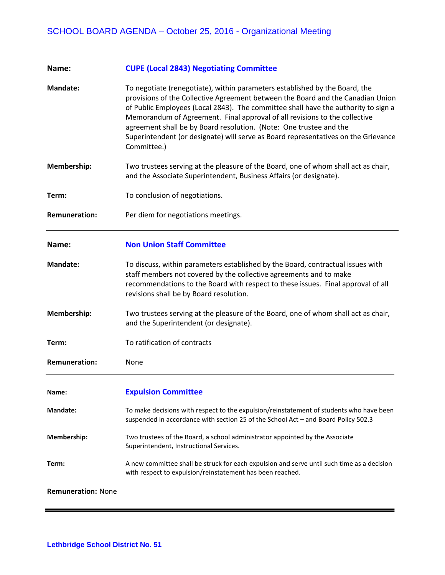| Name:                     | <b>CUPE (Local 2843) Negotiating Committee</b>                                                                                                                                                                                                                                                                                                                                                                                                                                                                |
|---------------------------|---------------------------------------------------------------------------------------------------------------------------------------------------------------------------------------------------------------------------------------------------------------------------------------------------------------------------------------------------------------------------------------------------------------------------------------------------------------------------------------------------------------|
| <b>Mandate:</b>           | To negotiate (renegotiate), within parameters established by the Board, the<br>provisions of the Collective Agreement between the Board and the Canadian Union<br>of Public Employees (Local 2843). The committee shall have the authority to sign a<br>Memorandum of Agreement. Final approval of all revisions to the collective<br>agreement shall be by Board resolution. (Note: One trustee and the<br>Superintendent (or designate) will serve as Board representatives on the Grievance<br>Committee.) |
| Membership:               | Two trustees serving at the pleasure of the Board, one of whom shall act as chair,<br>and the Associate Superintendent, Business Affairs (or designate).                                                                                                                                                                                                                                                                                                                                                      |
| Term:                     | To conclusion of negotiations.                                                                                                                                                                                                                                                                                                                                                                                                                                                                                |
| <b>Remuneration:</b>      | Per diem for negotiations meetings.                                                                                                                                                                                                                                                                                                                                                                                                                                                                           |
| Name:                     | <b>Non Union Staff Committee</b>                                                                                                                                                                                                                                                                                                                                                                                                                                                                              |
| <b>Mandate:</b>           | To discuss, within parameters established by the Board, contractual issues with<br>staff members not covered by the collective agreements and to make<br>recommendations to the Board with respect to these issues. Final approval of all<br>revisions shall be by Board resolution.                                                                                                                                                                                                                          |
| Membership:               | Two trustees serving at the pleasure of the Board, one of whom shall act as chair,<br>and the Superintendent (or designate).                                                                                                                                                                                                                                                                                                                                                                                  |
| Term:                     | To ratification of contracts                                                                                                                                                                                                                                                                                                                                                                                                                                                                                  |
| <b>Remuneration:</b>      | None                                                                                                                                                                                                                                                                                                                                                                                                                                                                                                          |
| Name:                     | <b>Expulsion Committee</b>                                                                                                                                                                                                                                                                                                                                                                                                                                                                                    |
| <b>Mandate:</b>           | To make decisions with respect to the expulsion/reinstatement of students who have been<br>suspended in accordance with section 25 of the School Act - and Board Policy 502.3                                                                                                                                                                                                                                                                                                                                 |
| Membership:               | Two trustees of the Board, a school administrator appointed by the Associate<br>Superintendent, Instructional Services.                                                                                                                                                                                                                                                                                                                                                                                       |
| Term:                     | A new committee shall be struck for each expulsion and serve until such time as a decision<br>with respect to expulsion/reinstatement has been reached.                                                                                                                                                                                                                                                                                                                                                       |
| <b>Remuneration: None</b> |                                                                                                                                                                                                                                                                                                                                                                                                                                                                                                               |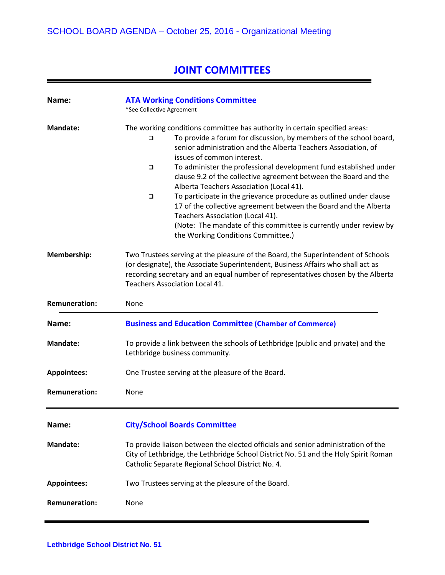## **JOINT COMMITTEES**

| Name:                | <b>ATA Working Conditions Committee</b><br>*See Collective Agreement                                                                                                                                                                                                                                                                                                                                                                                                                                                                                                                                                                                                                                                                               |
|----------------------|----------------------------------------------------------------------------------------------------------------------------------------------------------------------------------------------------------------------------------------------------------------------------------------------------------------------------------------------------------------------------------------------------------------------------------------------------------------------------------------------------------------------------------------------------------------------------------------------------------------------------------------------------------------------------------------------------------------------------------------------------|
| Mandate:             | The working conditions committee has authority in certain specified areas:<br>To provide a forum for discussion, by members of the school board,<br>□<br>senior administration and the Alberta Teachers Association, of<br>issues of common interest.<br>To administer the professional development fund established under<br>❏<br>clause 9.2 of the collective agreement between the Board and the<br>Alberta Teachers Association (Local 41).<br>To participate in the grievance procedure as outlined under clause<br>$\Box$<br>17 of the collective agreement between the Board and the Alberta<br>Teachers Association (Local 41).<br>(Note: The mandate of this committee is currently under review by<br>the Working Conditions Committee.) |
| Membership:          | Two Trustees serving at the pleasure of the Board, the Superintendent of Schools<br>(or designate), the Associate Superintendent, Business Affairs who shall act as<br>recording secretary and an equal number of representatives chosen by the Alberta<br>Teachers Association Local 41.                                                                                                                                                                                                                                                                                                                                                                                                                                                          |
| <b>Remuneration:</b> | None                                                                                                                                                                                                                                                                                                                                                                                                                                                                                                                                                                                                                                                                                                                                               |
| Name:                | <b>Business and Education Committee (Chamber of Commerce)</b>                                                                                                                                                                                                                                                                                                                                                                                                                                                                                                                                                                                                                                                                                      |
| <b>Mandate:</b>      | To provide a link between the schools of Lethbridge (public and private) and the<br>Lethbridge business community.                                                                                                                                                                                                                                                                                                                                                                                                                                                                                                                                                                                                                                 |
| <b>Appointees:</b>   | One Trustee serving at the pleasure of the Board.                                                                                                                                                                                                                                                                                                                                                                                                                                                                                                                                                                                                                                                                                                  |
| <b>Remuneration:</b> | None                                                                                                                                                                                                                                                                                                                                                                                                                                                                                                                                                                                                                                                                                                                                               |
| Name:                | <b>City/School Boards Committee</b>                                                                                                                                                                                                                                                                                                                                                                                                                                                                                                                                                                                                                                                                                                                |
| <b>Mandate:</b>      | To provide liaison between the elected officials and senior administration of the<br>City of Lethbridge, the Lethbridge School District No. 51 and the Holy Spirit Roman<br>Catholic Separate Regional School District No. 4.                                                                                                                                                                                                                                                                                                                                                                                                                                                                                                                      |
| <b>Appointees:</b>   | Two Trustees serving at the pleasure of the Board.                                                                                                                                                                                                                                                                                                                                                                                                                                                                                                                                                                                                                                                                                                 |
| <b>Remuneration:</b> | None                                                                                                                                                                                                                                                                                                                                                                                                                                                                                                                                                                                                                                                                                                                                               |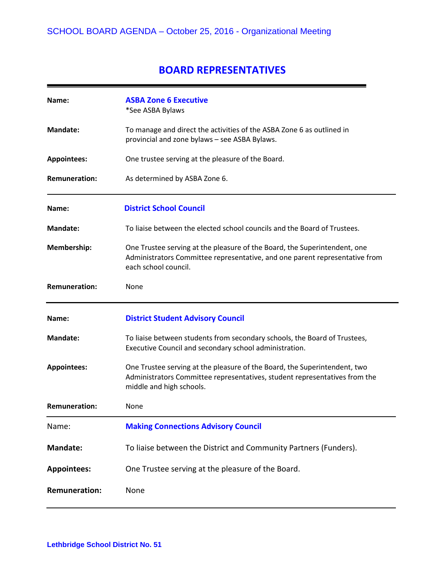### **BOARD REPRESENTATIVES**

| Name:                | <b>ASBA Zone 6 Executive</b><br>*See ASBA Bylaws                                                                                                                                    |
|----------------------|-------------------------------------------------------------------------------------------------------------------------------------------------------------------------------------|
| <b>Mandate:</b>      | To manage and direct the activities of the ASBA Zone 6 as outlined in<br>provincial and zone bylaws - see ASBA Bylaws.                                                              |
| <b>Appointees:</b>   | One trustee serving at the pleasure of the Board.                                                                                                                                   |
| <b>Remuneration:</b> | As determined by ASBA Zone 6.                                                                                                                                                       |
| Name:                | <b>District School Council</b>                                                                                                                                                      |
| <b>Mandate:</b>      | To liaise between the elected school councils and the Board of Trustees.                                                                                                            |
| Membership:          | One Trustee serving at the pleasure of the Board, the Superintendent, one<br>Administrators Committee representative, and one parent representative from<br>each school council.    |
| <b>Remuneration:</b> | None                                                                                                                                                                                |
|                      |                                                                                                                                                                                     |
| Name:                | <b>District Student Advisory Council</b>                                                                                                                                            |
| <b>Mandate:</b>      | To liaise between students from secondary schools, the Board of Trustees,<br>Executive Council and secondary school administration.                                                 |
| <b>Appointees:</b>   | One Trustee serving at the pleasure of the Board, the Superintendent, two<br>Administrators Committee representatives, student representatives from the<br>middle and high schools. |
| <b>Remuneration:</b> | None                                                                                                                                                                                |
| Name:                | <b>Making Connections Advisory Council</b>                                                                                                                                          |
| <b>Mandate:</b>      | To liaise between the District and Community Partners (Funders).                                                                                                                    |
| <b>Appointees:</b>   | One Trustee serving at the pleasure of the Board.                                                                                                                                   |